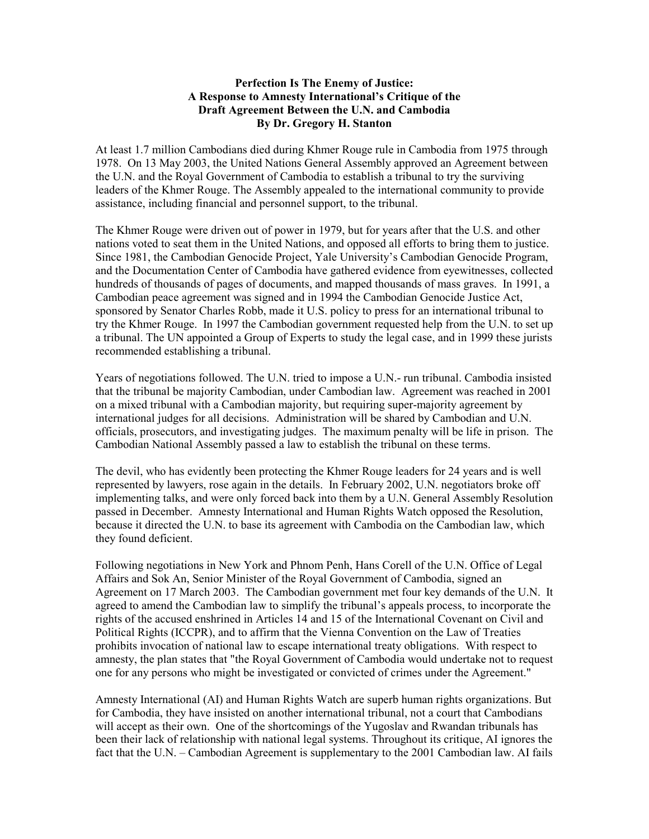## Perfection Is The Enemy of Justice: A Response to Amnesty International's Critique of the Draft Agreement Between the U.N. and Cambodia By Dr. Gregory H. Stanton

At least 1.7 million Cambodians died during Khmer Rouge rule in Cambodia from 1975 through 1978. On 13 May 2003, the United Nations General Assembly approved an Agreement between the U.N. and the Royal Government of Cambodia to establish a tribunal to try the surviving leaders of the Khmer Rouge. The Assembly appealed to the international community to provide assistance, including financial and personnel support, to the tribunal.

The Khmer Rouge were driven out of power in 1979, but for years after that the U.S. and other nations voted to seat them in the United Nations, and opposed all efforts to bring them to justice. Since 1981, the Cambodian Genocide Project, Yale University's Cambodian Genocide Program, and the Documentation Center of Cambodia have gathered evidence from eyewitnesses, collected hundreds of thousands of pages of documents, and mapped thousands of mass graves. In 1991, a Cambodian peace agreement was signed and in 1994 the Cambodian Genocide Justice Act, sponsored by Senator Charles Robb, made it U.S. policy to press for an international tribunal to try the Khmer Rouge. In 1997 the Cambodian government requested help from the U.N. to set up a tribunal. The UN appointed a Group of Experts to study the legal case, and in 1999 these jurists recommended establishing a tribunal.

Years of negotiations followed. The U.N. tried to impose a U.N.- run tribunal. Cambodia insisted that the tribunal be majority Cambodian, under Cambodian law. Agreement was reached in 2001 on a mixed tribunal with a Cambodian majority, but requiring super-majority agreement by international judges for all decisions. Administration will be shared by Cambodian and U.N. officials, prosecutors, and investigating judges. The maximum penalty will be life in prison. The Cambodian National Assembly passed a law to establish the tribunal on these terms.

The devil, who has evidently been protecting the Khmer Rouge leaders for 24 years and is well represented by lawyers, rose again in the details. In February 2002, U.N. negotiators broke off implementing talks, and were only forced back into them by a U.N. General Assembly Resolution passed in December. Amnesty International and Human Rights Watch opposed the Resolution, because it directed the U.N. to base its agreement with Cambodia on the Cambodian law, which they found deficient.

Following negotiations in New York and Phnom Penh, Hans Corell of the U.N. Office of Legal Affairs and Sok An, Senior Minister of the Royal Government of Cambodia, signed an Agreement on 17 March 2003. The Cambodian government met four key demands of the U.N. It agreed to amend the Cambodian law to simplify the tribunal's appeals process, to incorporate the rights of the accused enshrined in Articles 14 and 15 of the International Covenant on Civil and Political Rights (ICCPR), and to affirm that the Vienna Convention on the Law of Treaties prohibits invocation of national law to escape international treaty obligations. With respect to amnesty, the plan states that "the Royal Government of Cambodia would undertake not to request one for any persons who might be investigated or convicted of crimes under the Agreement."

Amnesty International (AI) and Human Rights Watch are superb human rights organizations. But for Cambodia, they have insisted on another international tribunal, not a court that Cambodians will accept as their own. One of the shortcomings of the Yugoslav and Rwandan tribunals has been their lack of relationship with national legal systems. Throughout its critique, AI ignores the fact that the U.N. – Cambodian Agreement is supplementary to the 2001 Cambodian law. AI fails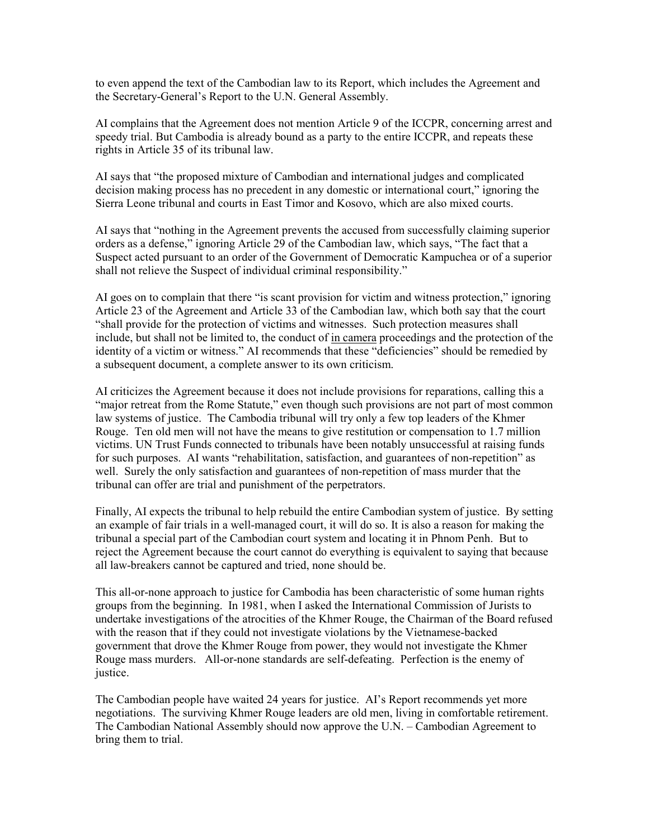to even append the text of the Cambodian law to its Report, which includes the Agreement and the Secretary-General's Report to the U.N. General Assembly.

AI complains that the Agreement does not mention Article 9 of the ICCPR, concerning arrest and speedy trial. But Cambodia is already bound as a party to the entire ICCPR, and repeats these rights in Article 35 of its tribunal law.

AI says that "the proposed mixture of Cambodian and international judges and complicated decision making process has no precedent in any domestic or international court," ignoring the Sierra Leone tribunal and courts in East Timor and Kosovo, which are also mixed courts.

AI says that "nothing in the Agreement prevents the accused from successfully claiming superior orders as a defense," ignoring Article 29 of the Cambodian law, which says, "The fact that a Suspect acted pursuant to an order of the Government of Democratic Kampuchea or of a superior shall not relieve the Suspect of individual criminal responsibility."

AI goes on to complain that there "is scant provision for victim and witness protection," ignoring Article 23 of the Agreement and Article 33 of the Cambodian law, which both say that the court "shall provide for the protection of victims and witnesses. Such protection measures shall include, but shall not be limited to, the conduct of in camera proceedings and the protection of the identity of a victim or witness." AI recommends that these "deficiencies" should be remedied by a subsequent document, a complete answer to its own criticism.

AI criticizes the Agreement because it does not include provisions for reparations, calling this a "major retreat from the Rome Statute," even though such provisions are not part of most common law systems of justice. The Cambodia tribunal will try only a few top leaders of the Khmer Rouge. Ten old men will not have the means to give restitution or compensation to 1.7 million victims. UN Trust Funds connected to tribunals have been notably unsuccessful at raising funds for such purposes. AI wants "rehabilitation, satisfaction, and guarantees of non-repetition" as well. Surely the only satisfaction and guarantees of non-repetition of mass murder that the tribunal can offer are trial and punishment of the perpetrators.

Finally, AI expects the tribunal to help rebuild the entire Cambodian system of justice. By setting an example of fair trials in a well-managed court, it will do so. It is also a reason for making the tribunal a special part of the Cambodian court system and locating it in Phnom Penh. But to reject the Agreement because the court cannot do everything is equivalent to saying that because all law-breakers cannot be captured and tried, none should be.

This all-or-none approach to justice for Cambodia has been characteristic of some human rights groups from the beginning. In 1981, when I asked the International Commission of Jurists to undertake investigations of the atrocities of the Khmer Rouge, the Chairman of the Board refused with the reason that if they could not investigate violations by the Vietnamese-backed government that drove the Khmer Rouge from power, they would not investigate the Khmer Rouge mass murders. All-or-none standards are self-defeating. Perfection is the enemy of justice.

The Cambodian people have waited 24 years for justice. AI's Report recommends yet more negotiations. The surviving Khmer Rouge leaders are old men, living in comfortable retirement. The Cambodian National Assembly should now approve the U.N. – Cambodian Agreement to bring them to trial.